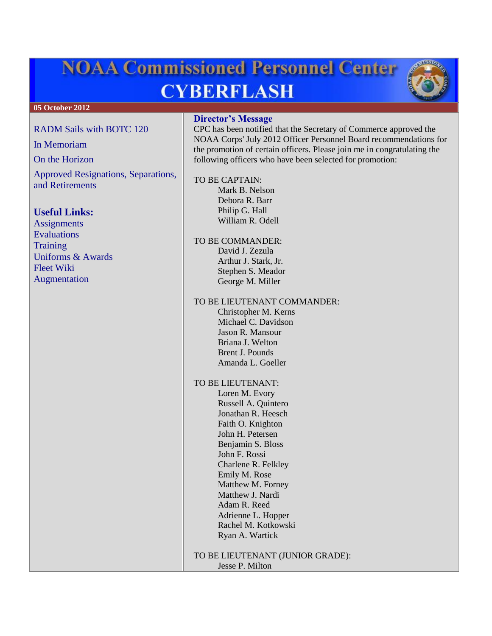# **NOAA Commissioned Personnel Center CYBERFLASH**



#### [RADM Sails with BOTC 120](#page-1-0)

[In Memoriam](#page-2-0)

[On the Horizon](#page-2-1)

[Approved Resignations, Separations,](#page-2-2)  [and Retirements](#page-2-2)

## **Useful Links:**

**[Assignments](http://www.corpscpc.noaa.gov/careermgmt/assignments.html)** [Evaluations](http://www.corpscpc.noaa.gov/careermgmt/evaluation.html) **[Training](http://www.corpscpc.noaa.gov/careermgmt/training.html)** [Uniforms & Awards](http://www.corpscpc.noaa.gov/perservices/awards.html) [Fleet Wiki](https://www.st.nmfs.noaa.gov/confluence/display/FleetWiki/Home) [Augmentation](http://www.moc.noaa.gov/augmentation-2.html)

## **Director's Message**

CPC has been notified that the Secretary of Commerce approved the NOAA Corps' July 2012 Officer Personnel Board recommendations for the promotion of certain officers. Please join me in congratulating the following officers who have been selected for promotion:

#### TO BE CAPTAIN:

Mark B. Nelson Debora R. Barr Philip G. Hall William R. Odell

TO BE COMMANDER: David J. Zezula Arthur J. Stark, Jr. Stephen S. Meador George M. Miller

#### TO BE LIEUTENANT COMMANDER:

Christopher M. Kerns Michael C. Davidson Jason R. Mansour Briana J. Welton Brent J. Pounds Amanda L. Goeller

#### TO BE LIEUTENANT:

Loren M. Evory Russell A. Quintero Jonathan R. Heesch Faith O. Knighton John H. Petersen Benjamin S. Bloss John F. Rossi Charlene R. Felkley Emily M. Rose Matthew M. Forney Matthew J. Nardi Adam R. Reed Adrienne L. Hopper Rachel M. Kotkowski Ryan A. Wartick

TO BE LIEUTENANT (JUNIOR GRADE): Jesse P. Milton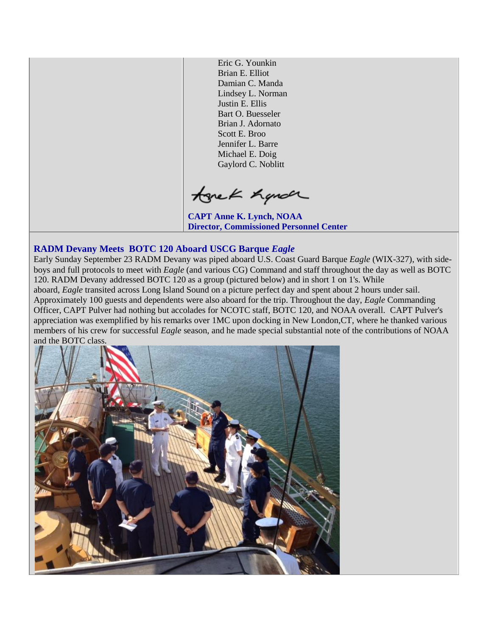Eric G. Younkin Brian E. Elliot Damian C. Manda Lindsey L. Norman Justin E. Ellis Bart O. Buesseler Brian J. Adornato Scott E. Broo Jennifer L. Barre Michael E. Doig Gaylord C. Noblitt

tonek hande

**CAPT Anne K. Lynch, NOAA Director, Commissioned Personnel Center**

## <span id="page-1-0"></span>**RADM Devany Meets BOTC 120 Aboard USCG Barque** *Eagle*

Early Sunday September 23 RADM Devany was piped aboard U.S. Coast Guard Barque *Eagle* (WIX-327), with sideboys and full protocols to meet with *Eagle* (and various CG) Command and staff throughout the day as well as BOTC 120. RADM Devany addressed BOTC 120 as a group (pictured below) and in short 1 on 1's. While aboard, *Eagle* transited across Long Island Sound on a picture perfect day and spent about 2 hours under sail. Approximately 100 guests and dependents were also aboard for the trip. Throughout the day, *Eagle* Commanding Officer, CAPT Pulver had nothing but accolades for NCOTC staff, BOTC 120, and NOAA overall. CAPT Pulver's appreciation was exemplified by his remarks over 1MC upon docking in New London,CT, where he thanked various members of his crew for successful *Eagle* season, and he made special substantial note of the contributions of NOAA and the BOTC class.